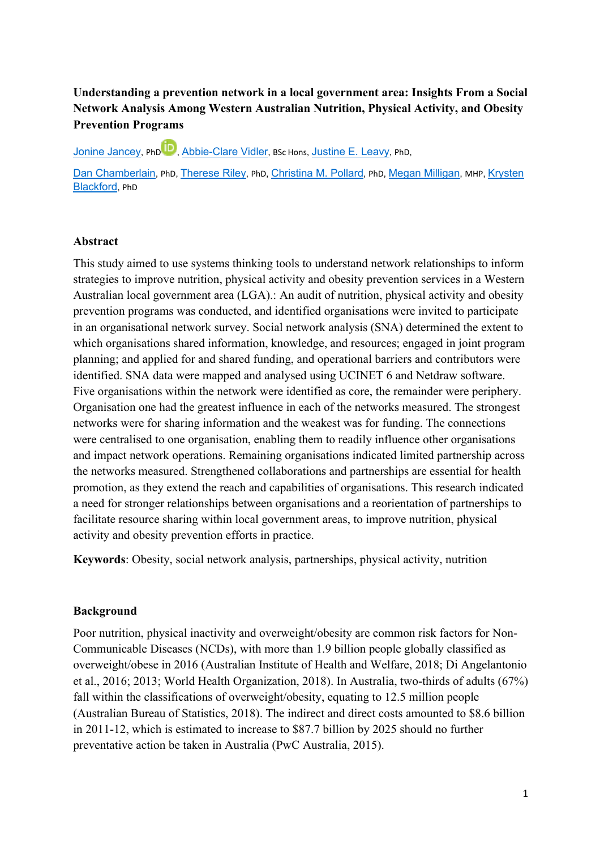# **Understanding a prevention network in a local government area: Insights From a Social Network Analysis Among Western Australian Nutrition, Physical Activity, and Obesity Prevention Programs**

Jonine Jancey, PhD<sup>1D</sup>, Abbie-Clare Vidler, BSc Hons, Justine E. Leavy, PhD,

Dan Chamberlain, PhD, Therese Riley, PhD, Christina M. Pollard, PhD, Megan Milligan, MHP, Krysten Blackford, PhD

#### **Abstract**

This study aimed to use systems thinking tools to understand network relationships to inform strategies to improve nutrition, physical activity and obesity prevention services in a Western Australian local government area (LGA).: An audit of nutrition, physical activity and obesity prevention programs was conducted, and identified organisations were invited to participate in an organisational network survey. Social network analysis (SNA) determined the extent to which organisations shared information, knowledge, and resources; engaged in joint program planning; and applied for and shared funding, and operational barriers and contributors were identified. SNA data were mapped and analysed using UCINET 6 and Netdraw software. Five organisations within the network were identified as core, the remainder were periphery. Organisation one had the greatest influence in each of the networks measured. The strongest networks were for sharing information and the weakest was for funding. The connections were centralised to one organisation, enabling them to readily influence other organisations and impact network operations. Remaining organisations indicated limited partnership across the networks measured. Strengthened collaborations and partnerships are essential for health promotion, as they extend the reach and capabilities of organisations. This research indicated a need for stronger relationships between organisations and a reorientation of partnerships to facilitate resource sharing within local government areas, to improve nutrition, physical activity and obesity prevention efforts in practice.

**Keywords**: Obesity, social network analysis, partnerships, physical activity, nutrition

### **Background**

Poor nutrition, physical inactivity and overweight/obesity are common risk factors for Non-Communicable Diseases (NCDs), with more than 1.9 billion people globally classified as overweight/obese in 2016 (Australian Institute of Health and Welfare, 2018; Di Angelantonio et al., 2016; 2013; World Health Organization, 2018). In Australia, two-thirds of adults (67%) fall within the classifications of overweight/obesity, equating to 12.5 million people (Australian Bureau of Statistics, 2018). The indirect and direct costs amounted to \$8.6 billion in 2011-12, which is estimated to increase to \$87.7 billion by 2025 should no further preventative action be taken in Australia (PwC Australia, 2015).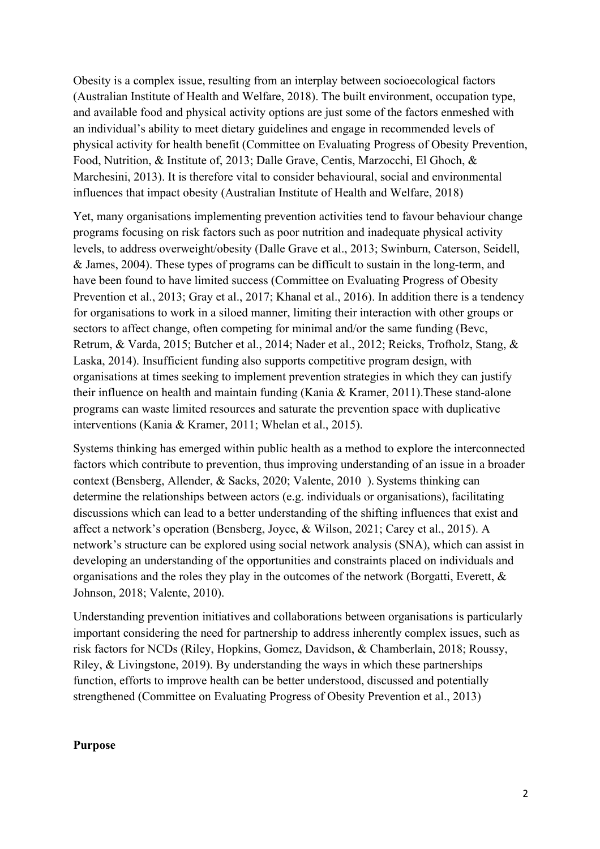Obesity is a complex issue, resulting from an interplay between socioecological factors (Australian Institute of Health and Welfare, 2018). The built environment, occupation type, and available food and physical activity options are just some of the factors enmeshed with an individual's ability to meet dietary guidelines and engage in recommended levels of physical activity for health benefit (Committee on Evaluating Progress of Obesity Prevention, Food, Nutrition, & Institute of, 2013; Dalle Grave, Centis, Marzocchi, El Ghoch, & Marchesini, 2013). It is therefore vital to consider behavioural, social and environmental influences that impact obesity (Australian Institute of Health and Welfare, 2018)

Yet, many organisations implementing prevention activities tend to favour behaviour change programs focusing on risk factors such as poor nutrition and inadequate physical activity levels, to address overweight/obesity (Dalle Grave et al., 2013; Swinburn, Caterson, Seidell, & James, 2004). These types of programs can be difficult to sustain in the long-term, and have been found to have limited success (Committee on Evaluating Progress of Obesity Prevention et al., 2013; Gray et al., 2017; Khanal et al., 2016). In addition there is a tendency for organisations to work in a siloed manner, limiting their interaction with other groups or sectors to affect change, often competing for minimal and/or the same funding (Bevc, Retrum, & Varda, 2015; Butcher et al., 2014; Nader et al., 2012; Reicks, Trofholz, Stang, & Laska, 2014). Insufficient funding also supports competitive program design, with organisations at times seeking to implement prevention strategies in which they can justify their influence on health and maintain funding (Kania & Kramer, 2011).These stand-alone programs can waste limited resources and saturate the prevention space with duplicative interventions (Kania & Kramer, 2011; Whelan et al., 2015).

Systems thinking has emerged within public health as a method to explore the interconnected factors which contribute to prevention, thus improving understanding of an issue in a broader context (Bensberg, Allender, & Sacks, 2020; Valente, 2010 ). Systems thinking can determine the relationships between actors (e.g. individuals or organisations), facilitating discussions which can lead to a better understanding of the shifting influences that exist and affect a network's operation (Bensberg, Joyce, & Wilson, 2021; Carey et al., 2015). A network's structure can be explored using social network analysis (SNA), which can assist in developing an understanding of the opportunities and constraints placed on individuals and organisations and the roles they play in the outcomes of the network (Borgatti, Everett, & Johnson, 2018; Valente, 2010).

Understanding prevention initiatives and collaborations between organisations is particularly important considering the need for partnership to address inherently complex issues, such as risk factors for NCDs (Riley, Hopkins, Gomez, Davidson, & Chamberlain, 2018; Roussy, Riley, & Livingstone, 2019). By understanding the ways in which these partnerships function, efforts to improve health can be better understood, discussed and potentially strengthened (Committee on Evaluating Progress of Obesity Prevention et al., 2013)

### **Purpose**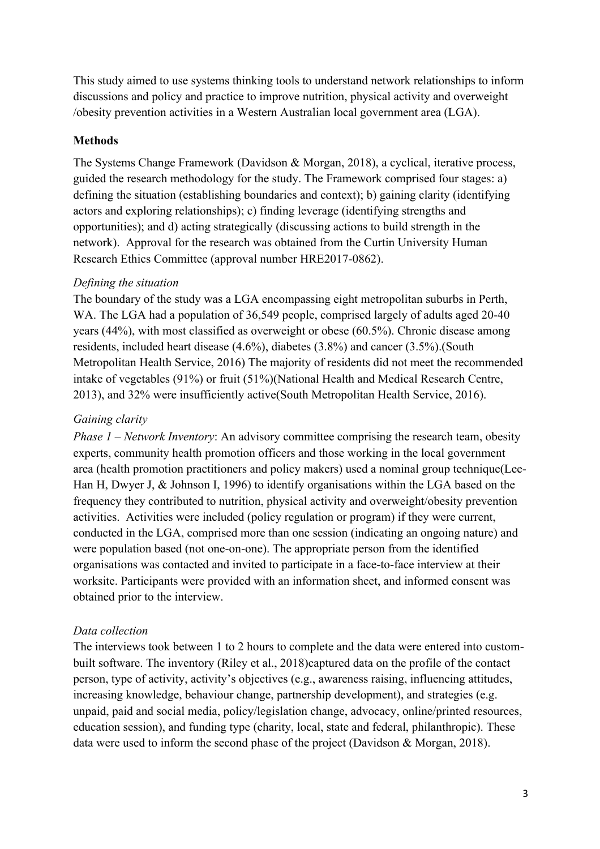This study aimed to use systems thinking tools to understand network relationships to inform discussions and policy and practice to improve nutrition, physical activity and overweight /obesity prevention activities in a Western Australian local government area (LGA).

### **Methods**

The Systems Change Framework (Davidson & Morgan, 2018), a cyclical, iterative process, guided the research methodology for the study. The Framework comprised four stages: a) defining the situation (establishing boundaries and context); b) gaining clarity (identifying actors and exploring relationships); c) finding leverage (identifying strengths and opportunities); and d) acting strategically (discussing actions to build strength in the network). Approval for the research was obtained from the Curtin University Human Research Ethics Committee (approval number HRE2017-0862).

#### *Defining the situation*

The boundary of the study was a LGA encompassing eight metropolitan suburbs in Perth, WA. The LGA had a population of 36,549 people, comprised largely of adults aged 20-40 years (44%), with most classified as overweight or obese (60.5%). Chronic disease among residents, included heart disease (4.6%), diabetes (3.8%) and cancer (3.5%).(South Metropolitan Health Service, 2016) The majority of residents did not meet the recommended intake of vegetables (91%) or fruit (51%)(National Health and Medical Research Centre, 2013), and 32% were insufficiently active(South Metropolitan Health Service, 2016).

#### *Gaining clarity*

*Phase 1 – Network Inventory*: An advisory committee comprising the research team, obesity experts, community health promotion officers and those working in the local government area (health promotion practitioners and policy makers) used a nominal group technique(Lee-Han H, Dwyer J, & Johnson I, 1996) to identify organisations within the LGA based on the frequency they contributed to nutrition, physical activity and overweight/obesity prevention activities. Activities were included (policy regulation or program) if they were current, conducted in the LGA, comprised more than one session (indicating an ongoing nature) and were population based (not one-on-one). The appropriate person from the identified organisations was contacted and invited to participate in a face-to-face interview at their worksite. Participants were provided with an information sheet, and informed consent was obtained prior to the interview.

#### *Data collection*

The interviews took between 1 to 2 hours to complete and the data were entered into custombuilt software. The inventory (Riley et al., 2018)captured data on the profile of the contact person, type of activity, activity's objectives (e.g., awareness raising, influencing attitudes, increasing knowledge, behaviour change, partnership development), and strategies (e.g. unpaid, paid and social media, policy/legislation change, advocacy, online/printed resources, education session), and funding type (charity, local, state and federal, philanthropic). These data were used to inform the second phase of the project (Davidson & Morgan, 2018).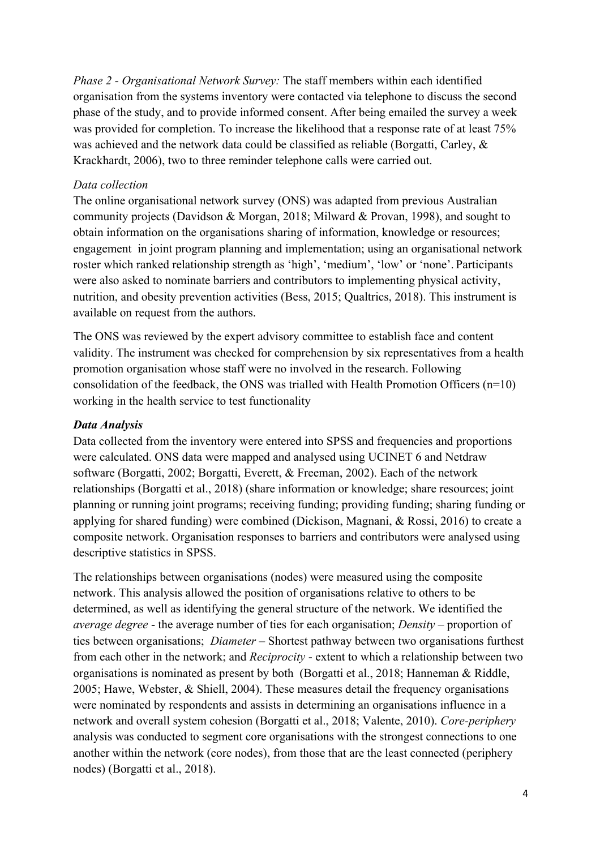*Phase 2 - Organisational Network Survey:* The staff members within each identified organisation from the systems inventory were contacted via telephone to discuss the second phase of the study, and to provide informed consent. After being emailed the survey a week was provided for completion. To increase the likelihood that a response rate of at least 75% was achieved and the network data could be classified as reliable (Borgatti, Carley, & Krackhardt, 2006), two to three reminder telephone calls were carried out.

## *Data collection*

The online organisational network survey (ONS) was adapted from previous Australian community projects (Davidson & Morgan, 2018; Milward & Provan, 1998), and sought to obtain information on the organisations sharing of information, knowledge or resources; engagement in joint program planning and implementation; using an organisational network roster which ranked relationship strength as 'high', 'medium', 'low' or 'none'. Participants were also asked to nominate barriers and contributors to implementing physical activity, nutrition, and obesity prevention activities (Bess, 2015; Qualtrics, 2018). This instrument is available on request from the authors.

The ONS was reviewed by the expert advisory committee to establish face and content validity. The instrument was checked for comprehension by six representatives from a health promotion organisation whose staff were no involved in the research. Following consolidation of the feedback, the ONS was trialled with Health Promotion Officers (n=10) working in the health service to test functionality

## *Data Analysis*

Data collected from the inventory were entered into SPSS and frequencies and proportions were calculated. ONS data were mapped and analysed using UCINET 6 and Netdraw software (Borgatti, 2002; Borgatti, Everett, & Freeman, 2002). Each of the network relationships (Borgatti et al., 2018) (share information or knowledge; share resources; joint planning or running joint programs; receiving funding; providing funding; sharing funding or applying for shared funding) were combined (Dickison, Magnani, & Rossi, 2016) to create a composite network. Organisation responses to barriers and contributors were analysed using descriptive statistics in SPSS.

The relationships between organisations (nodes) were measured using the composite network. This analysis allowed the position of organisations relative to others to be determined, as well as identifying the general structure of the network. We identified the *average degree* - the average number of ties for each organisation; *Density* – proportion of ties between organisations; *Diameter* – Shortest pathway between two organisations furthest from each other in the network; and *Reciprocity* - extent to which a relationship between two organisations is nominated as present by both (Borgatti et al., 2018; Hanneman & Riddle, 2005; Hawe, Webster, & Shiell, 2004). These measures detail the frequency organisations were nominated by respondents and assists in determining an organisations influence in a network and overall system cohesion (Borgatti et al., 2018; Valente, 2010). *Core-periphery* analysis was conducted to segment core organisations with the strongest connections to one another within the network (core nodes), from those that are the least connected (periphery nodes) (Borgatti et al., 2018).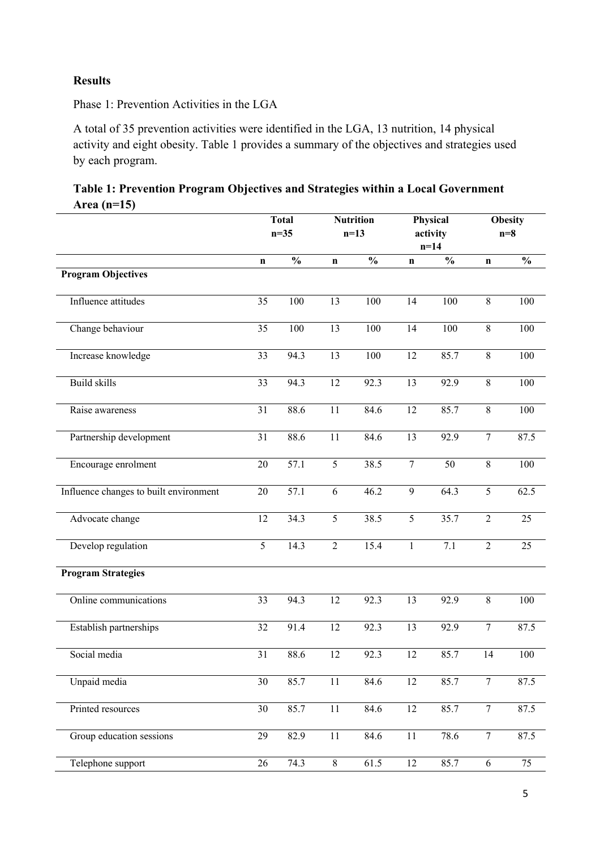# **Results**

Phase 1: Prevention Activities in the LGA

A total of 35 prevention activities were identified in the LGA, 13 nutrition, 14 physical activity and eight obesity. Table 1 provides a summary of the objectives and strategies used by each program.

| Table 1: Prevention Program Objectives and Strategies within a Local Government |  |  |
|---------------------------------------------------------------------------------|--|--|
| Area (n=15)                                                                     |  |  |

|                                        | <b>Total</b><br>$n=35$ |               | <b>Nutrition</b><br>$n=13$ |               | Physical<br>activity |               | <b>Obesity</b><br>$n=8$ |               |
|----------------------------------------|------------------------|---------------|----------------------------|---------------|----------------------|---------------|-------------------------|---------------|
|                                        |                        |               |                            |               | $n=14$               |               |                         |               |
|                                        | $\mathbf n$            | $\frac{1}{2}$ | $\mathbf n$                | $\frac{0}{0}$ | $\mathbf n$          | $\frac{0}{0}$ | $\mathbf n$             | $\frac{0}{0}$ |
| <b>Program Objectives</b>              |                        |               |                            |               |                      |               |                         |               |
| Influence attitudes                    | $\overline{35}$        | 100           | 13                         | 100           | 14                   | 100           | $\overline{8}$          | 100           |
| Change behaviour                       | 35                     | 100           | 13                         | 100           | 14                   | 100           | 8                       | 100           |
| Increase knowledge                     | $\overline{33}$        | 94.3          | 13                         | 100           | $\overline{12}$      | 85.7          | $\overline{8}$          | 100           |
| Build skills                           | 33                     | 94.3          | 12                         | 92.3          | 13                   | 92.9          | $\,8\,$                 | 100           |
| Raise awareness                        | 31                     | 88.6          | 11                         | 84.6          | 12                   | 85.7          | $\,8\,$                 | 100           |
| Partnership development                | 31                     | 88.6          | 11                         | 84.6          | 13                   | 92.9          | $\tau$                  | 87.5          |
| Encourage enrolment                    | 20                     | 57.1          | $\mathfrak s$              | 38.5          | $\boldsymbol{7}$     | 50            | $8\,$                   | 100           |
| Influence changes to built environment | $20\,$                 | 57.1          | 6                          | 46.2          | $\mathbf{9}$         | 64.3          | 5                       | 62.5          |
| Advocate change                        | 12                     | 34.3          | 5                          | 38.5          | 5                    | 35.7          | $\overline{2}$          | 25            |
| Develop regulation                     | 5                      | 14.3          | $\overline{2}$             | 15.4          | $\mathbf{1}$         | 7.1           | $\overline{2}$          | 25            |
| <b>Program Strategies</b>              |                        |               |                            |               |                      |               |                         |               |
| Online communications                  | 33                     | 94.3          | 12                         | 92.3          | 13                   | 92.9          | $8\,$                   | 100           |
| Establish partnerships                 | 32                     | 91.4          | 12                         | 92.3          | 13                   | 92.9          | $\overline{7}$          | 87.5          |
| Social media                           | 31                     | 88.6          | 12                         | 92.3          | 12                   | 85.7          | 14                      | 100           |
| Unpaid media                           | 30                     | 85.7          | $\overline{11}$            | 84.6          | 12                   | 85.7          | $\overline{7}$          | 87.5          |
| Printed resources                      | 30                     | 85.7          | 11                         | 84.6          | $12\,$               | 85.7          | $\overline{7}$          | 87.5          |
| Group education sessions               | $\overline{29}$        | 82.9          | 11                         | 84.6          | $11\,$               | 78.6          | $\tau$                  | 87.5          |
| Telephone support                      | 26                     | 74.3          | $8\,$                      | 61.5          | 12                   | 85.7          | $6\,$                   | 75            |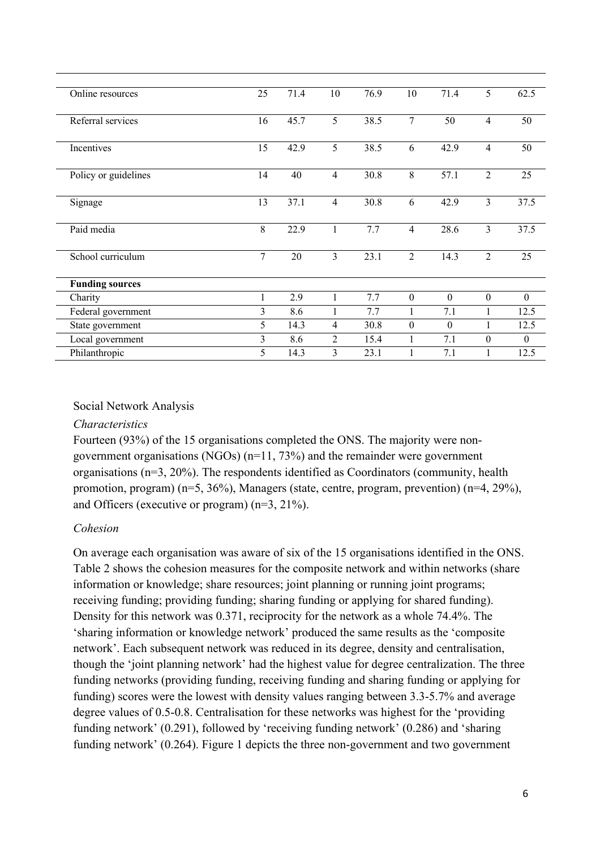| Online resources       | 25 | 71.4 | 10             | 76.9 | 10               | 71.4             | 5              | 62.5         |
|------------------------|----|------|----------------|------|------------------|------------------|----------------|--------------|
| Referral services      | 16 | 45.7 | 5              | 38.5 | 7                | 50               | 4              | 50           |
| Incentives             | 15 | 42.9 | 5              | 38.5 | 6                | 42.9             | $\overline{4}$ | 50           |
| Policy or guidelines   | 14 | 40   | $\overline{4}$ | 30.8 | 8                | 57.1             | $\overline{2}$ | 25           |
| Signage                | 13 | 37.1 | $\overline{4}$ | 30.8 | 6                | 42.9             | 3              | 37.5         |
| Paid media             | 8  | 22.9 | 1              | 7.7  | $\overline{4}$   | 28.6             | $\overline{3}$ | 37.5         |
| School curriculum      | 7  | 20   | 3              | 23.1 | $\overline{2}$   | 14.3             | $\overline{2}$ | 25           |
| <b>Funding sources</b> |    |      |                |      |                  |                  |                |              |
| Charity                | 1  | 2.9  | 1              | 7.7  | $\mathbf{0}$     | $\mathbf{0}$     | $\mathbf{0}$   | $\mathbf{0}$ |
| Federal government     | 3  | 8.6  |                | 7.7  | 1                | 7.1              |                | 12.5         |
| State government       | 5  | 14.3 | $\overline{4}$ | 30.8 | $\boldsymbol{0}$ | $\boldsymbol{0}$ |                | 12.5         |
| Local government       | 3  | 8.6  | $\overline{2}$ | 15.4 | 1                | 7.1              | $\theta$       | $\theta$     |
| Philanthropic          | 5  | 14.3 | 3              | 23.1 | 1                | 7.1              |                | 12.5         |

## Social Network Analysis

#### *Characteristics*

Fourteen (93%) of the 15 organisations completed the ONS. The majority were nongovernment organisations (NGOs) (n=11, 73%) and the remainder were government organisations (n=3, 20%). The respondents identified as Coordinators (community, health promotion, program) (n=5, 36%), Managers (state, centre, program, prevention) (n=4, 29%), and Officers (executive or program) (n=3, 21%).

### *Cohesion*

On average each organisation was aware of six of the 15 organisations identified in the ONS. Table 2 shows the cohesion measures for the composite network and within networks (share information or knowledge; share resources; joint planning or running joint programs; receiving funding; providing funding; sharing funding or applying for shared funding). Density for this network was 0.371, reciprocity for the network as a whole 74.4%. The 'sharing information or knowledge network' produced the same results as the 'composite network'. Each subsequent network was reduced in its degree, density and centralisation, though the 'joint planning network' had the highest value for degree centralization. The three funding networks (providing funding, receiving funding and sharing funding or applying for funding) scores were the lowest with density values ranging between 3.3-5.7% and average degree values of 0.5-0.8. Centralisation for these networks was highest for the 'providing funding network' (0.291), followed by 'receiving funding network' (0.286) and 'sharing funding network' (0.264). Figure 1 depicts the three non-government and two government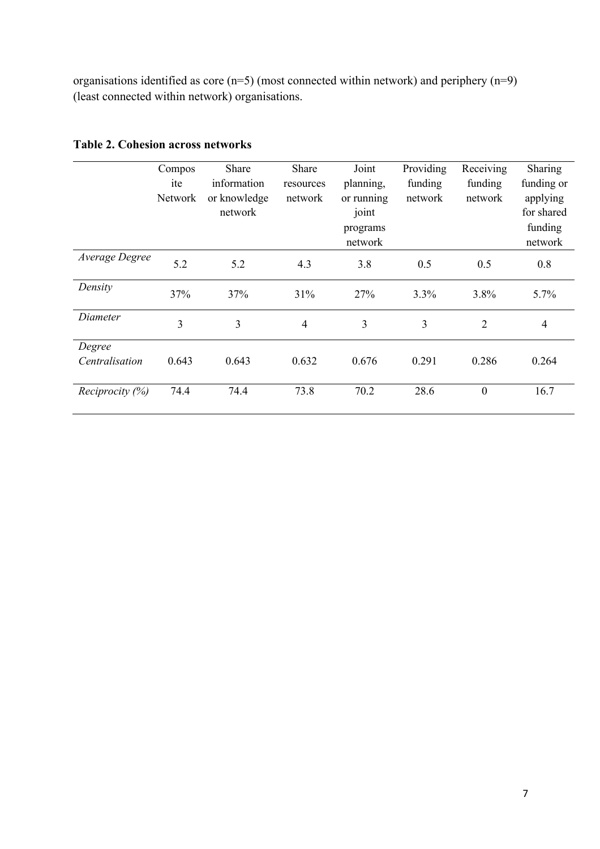organisations identified as core (n=5) (most connected within network) and periphery (n=9) (least connected within network) organisations.

|                 | Compos         | Share                   | Share          | Joint               | Providing | Receiving      | Sharing                |
|-----------------|----------------|-------------------------|----------------|---------------------|-----------|----------------|------------------------|
|                 | ite            | information             | resources      | planning,           | funding   | funding        | funding or             |
|                 | <b>Network</b> | or knowledge<br>network | network        | or running<br>joint | network   | network        | applying<br>for shared |
|                 |                |                         |                | programs<br>network |           |                | funding<br>network     |
| Average Degree  | 5.2            | 5.2                     | 4.3            | 3.8                 | 0.5       | 0.5            | 0.8                    |
| Density         | 37%            | 37%                     | 31%            | 27%                 | 3.3%      | 3.8%           | 5.7%                   |
| Diameter        | 3              | 3                       | $\overline{4}$ | 3                   | 3         | $\overline{2}$ | $\overline{4}$         |
| Degree          |                |                         |                |                     |           |                |                        |
| Centralisation  | 0.643          | 0.643                   | 0.632          | 0.676               | 0.291     | 0.286          | 0.264                  |
| Reciprocity (%) | 74.4           | 74.4                    | 73.8           | 70.2                | 28.6      | $\overline{0}$ | 16.7                   |

# **Table 2. Cohesion across networks**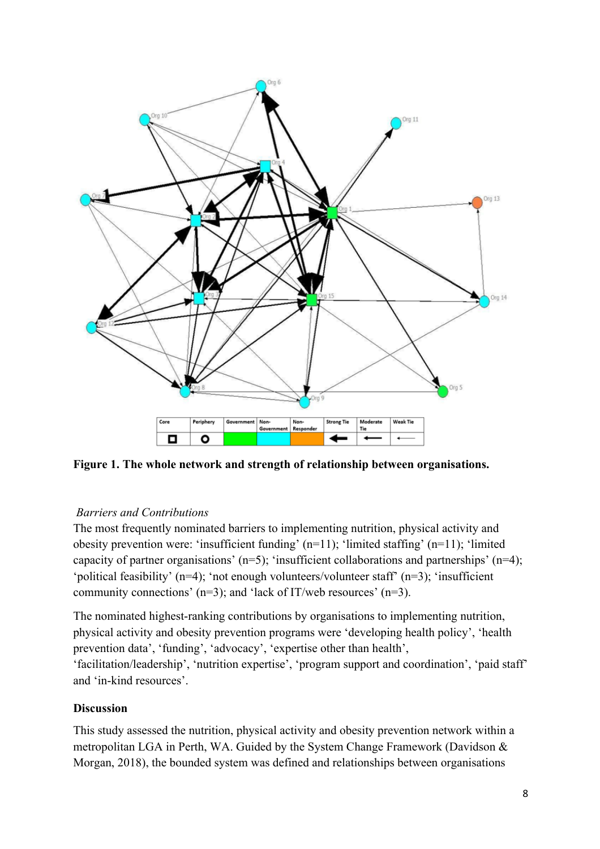

**Figure 1. The whole network and strength of relationship between organisations.** 

## *Barriers and Contributions*

The most frequently nominated barriers to implementing nutrition, physical activity and obesity prevention were: 'insufficient funding' (n=11); 'limited staffing' (n=11); 'limited capacity of partner organisations' ( $n=5$ ); 'insufficient collaborations and partnerships' ( $n=4$ ); 'political feasibility' (n=4); 'not enough volunteers/volunteer staff' (n=3); 'insufficient community connections' (n=3); and 'lack of IT/web resources' (n=3).

The nominated highest-ranking contributions by organisations to implementing nutrition, physical activity and obesity prevention programs were 'developing health policy', 'health prevention data', 'funding', 'advocacy', 'expertise other than health', 'facilitation/leadership', 'nutrition expertise', 'program support and coordination', 'paid staff' and 'in-kind resources'.

## **Discussion**

This study assessed the nutrition, physical activity and obesity prevention network within a metropolitan LGA in Perth, WA. Guided by the System Change Framework (Davidson & Morgan, 2018), the bounded system was defined and relationships between organisations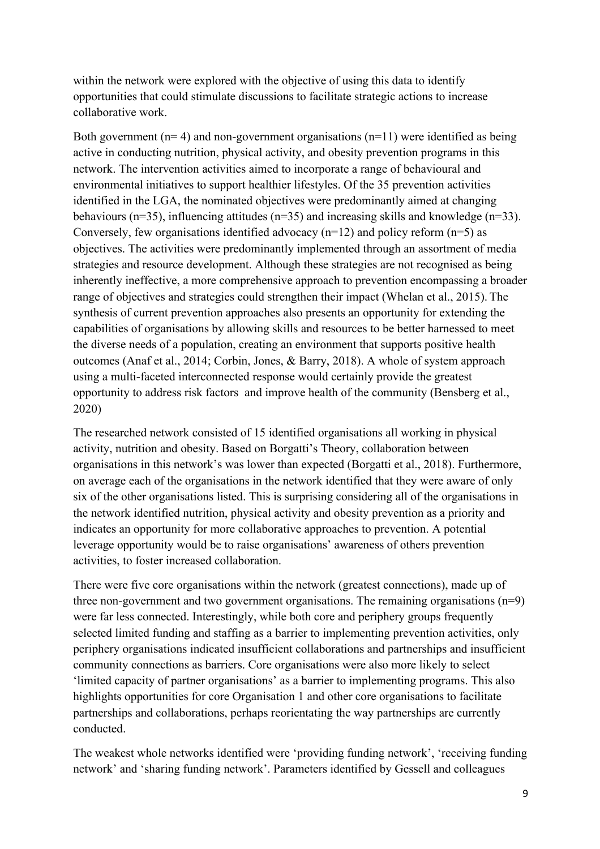within the network were explored with the objective of using this data to identify opportunities that could stimulate discussions to facilitate strategic actions to increase collaborative work.

Both government ( $n= 4$ ) and non-government organisations ( $n=11$ ) were identified as being active in conducting nutrition, physical activity, and obesity prevention programs in this network. The intervention activities aimed to incorporate a range of behavioural and environmental initiatives to support healthier lifestyles. Of the 35 prevention activities identified in the LGA, the nominated objectives were predominantly aimed at changing behaviours (n=35), influencing attitudes (n=35) and increasing skills and knowledge (n=33). Conversely, few organisations identified advocacy  $(n=12)$  and policy reform  $(n=5)$  as objectives. The activities were predominantly implemented through an assortment of media strategies and resource development. Although these strategies are not recognised as being inherently ineffective, a more comprehensive approach to prevention encompassing a broader range of objectives and strategies could strengthen their impact (Whelan et al., 2015). The synthesis of current prevention approaches also presents an opportunity for extending the capabilities of organisations by allowing skills and resources to be better harnessed to meet the diverse needs of a population, creating an environment that supports positive health outcomes (Anaf et al., 2014; Corbin, Jones, & Barry, 2018). A whole of system approach using a multi-faceted interconnected response would certainly provide the greatest opportunity to address risk factors and improve health of the community (Bensberg et al., 2020)

The researched network consisted of 15 identified organisations all working in physical activity, nutrition and obesity. Based on Borgatti's Theory, collaboration between organisations in this network's was lower than expected (Borgatti et al., 2018). Furthermore, on average each of the organisations in the network identified that they were aware of only six of the other organisations listed. This is surprising considering all of the organisations in the network identified nutrition, physical activity and obesity prevention as a priority and indicates an opportunity for more collaborative approaches to prevention. A potential leverage opportunity would be to raise organisations' awareness of others prevention activities, to foster increased collaboration.

There were five core organisations within the network (greatest connections), made up of three non-government and two government organisations. The remaining organisations  $(n=9)$ were far less connected. Interestingly, while both core and periphery groups frequently selected limited funding and staffing as a barrier to implementing prevention activities, only periphery organisations indicated insufficient collaborations and partnerships and insufficient community connections as barriers. Core organisations were also more likely to select 'limited capacity of partner organisations' as a barrier to implementing programs. This also highlights opportunities for core Organisation 1 and other core organisations to facilitate partnerships and collaborations, perhaps reorientating the way partnerships are currently conducted.

The weakest whole networks identified were 'providing funding network', 'receiving funding network' and 'sharing funding network'. Parameters identified by Gessell and colleagues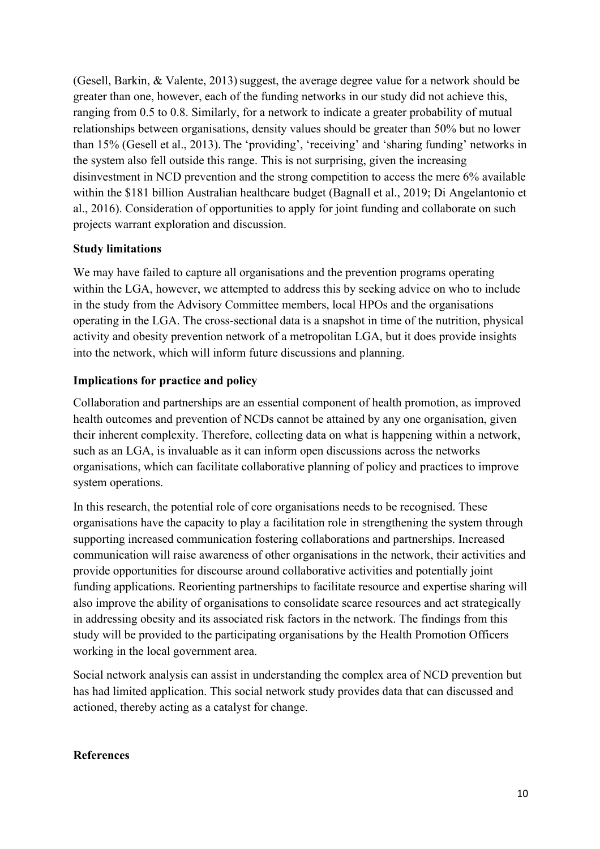(Gesell, Barkin,  $&$  Valente, 2013) suggest, the average degree value for a network should be greater than one, however, each of the funding networks in our study did not achieve this, ranging from 0.5 to 0.8. Similarly, for a network to indicate a greater probability of mutual relationships between organisations, density values should be greater than 50% but no lower than 15% (Gesell et al., 2013). The 'providing', 'receiving' and 'sharing funding' networks in the system also fell outside this range. This is not surprising, given the increasing disinvestment in NCD prevention and the strong competition to access the mere 6% available within the \$181 billion Australian healthcare budget (Bagnall et al., 2019; Di Angelantonio et al., 2016). Consideration of opportunities to apply for joint funding and collaborate on such projects warrant exploration and discussion.

## **Study limitations**

We may have failed to capture all organisations and the prevention programs operating within the LGA, however, we attempted to address this by seeking advice on who to include in the study from the Advisory Committee members, local HPOs and the organisations operating in the LGA. The cross-sectional data is a snapshot in time of the nutrition, physical activity and obesity prevention network of a metropolitan LGA, but it does provide insights into the network, which will inform future discussions and planning.

# **Implications for practice and policy**

Collaboration and partnerships are an essential component of health promotion, as improved health outcomes and prevention of NCDs cannot be attained by any one organisation, given their inherent complexity. Therefore, collecting data on what is happening within a network, such as an LGA, is invaluable as it can inform open discussions across the networks organisations, which can facilitate collaborative planning of policy and practices to improve system operations.

In this research, the potential role of core organisations needs to be recognised. These organisations have the capacity to play a facilitation role in strengthening the system through supporting increased communication fostering collaborations and partnerships. Increased communication will raise awareness of other organisations in the network, their activities and provide opportunities for discourse around collaborative activities and potentially joint funding applications. Reorienting partnerships to facilitate resource and expertise sharing will also improve the ability of organisations to consolidate scarce resources and act strategically in addressing obesity and its associated risk factors in the network. The findings from this study will be provided to the participating organisations by the Health Promotion Officers working in the local government area.

Social network analysis can assist in understanding the complex area of NCD prevention but has had limited application. This social network study provides data that can discussed and actioned, thereby acting as a catalyst for change.

## **References**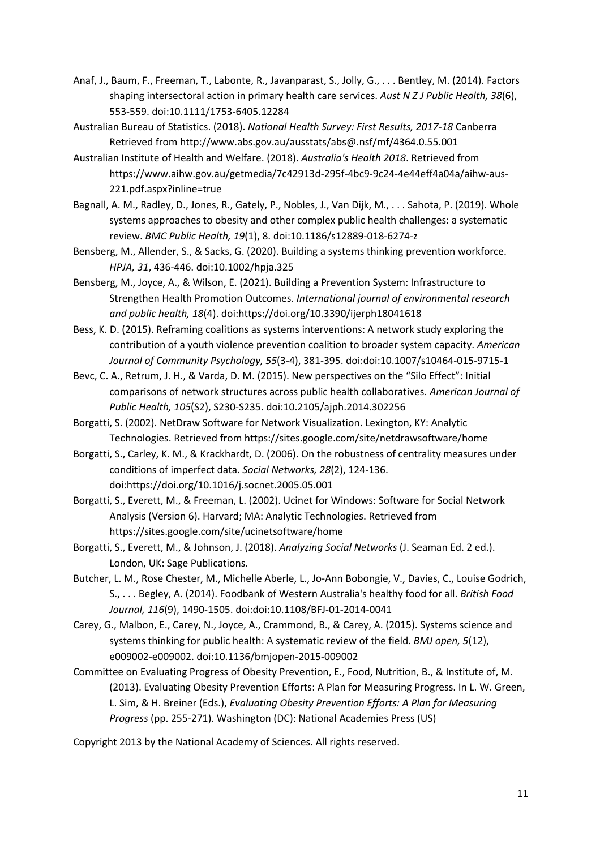- Anaf, J., Baum, F., Freeman, T., Labonte, R., Javanparast, S., Jolly, G., . . . Bentley, M. (2014). Factors shaping intersectoral action in primary health care services. *Aust N Z J Public Health, 38*(6), 553-559. doi:10.1111/1753-6405.12284
- Australian Bureau of Statistics. (2018). *National Health Survey: First Results, 2017-18* Canberra Retrieved from http://www.abs.gov.au/ausstats/abs@.nsf/mf/4364.0.55.001
- Australian Institute of Health and Welfare. (2018). *Australia's Health 2018*. Retrieved from https://www.aihw.gov.au/getmedia/7c42913d-295f-4bc9-9c24-4e44eff4a04a/aihw-aus-221.pdf.aspx?inline=true
- Bagnall, A. M., Radley, D., Jones, R., Gately, P., Nobles, J., Van Dijk, M., . . . Sahota, P. (2019). Whole systems approaches to obesity and other complex public health challenges: a systematic review. *BMC Public Health, 19*(1), 8. doi:10.1186/s12889-018-6274-z
- Bensberg, M., Allender, S., & Sacks, G. (2020). Building a systems thinking prevention workforce. *HPJA, 31*, 436-446. doi:10.1002/hpja.325
- Bensberg, M., Joyce, A., & Wilson, E. (2021). Building a Prevention System: Infrastructure to Strengthen Health Promotion Outcomes. *International journal of environmental research and public health, 18*(4). doi:https://doi.org/10.3390/ijerph18041618
- Bess, K. D. (2015). Reframing coalitions as systems interventions: A network study exploring the contribution of a youth violence prevention coalition to broader system capacity. *American Journal of Community Psychology, 55*(3-4), 381-395. doi:doi:10.1007/s10464-015-9715-1
- Bevc, C. A., Retrum, J. H., & Varda, D. M. (2015). New perspectives on the "Silo Effect": Initial comparisons of network structures across public health collaboratives. *American Journal of Public Health, 105*(S2), S230-S235. doi:10.2105/ajph.2014.302256
- Borgatti, S. (2002). NetDraw Software for Network Visualization. Lexington, KY: Analytic Technologies. Retrieved from https://sites.google.com/site/netdrawsoftware/home
- Borgatti, S., Carley, K. M., & Krackhardt, D. (2006). On the robustness of centrality measures under conditions of imperfect data. *Social Networks, 28*(2), 124-136. doi:https://doi.org/10.1016/j.socnet.2005.05.001
- Borgatti, S., Everett, M., & Freeman, L. (2002). Ucinet for Windows: Software for Social Network Analysis (Version 6). Harvard; MA: Analytic Technologies. Retrieved from https://sites.google.com/site/ucinetsoftware/home
- Borgatti, S., Everett, M., & Johnson, J. (2018). *Analyzing Social Networks* (J. Seaman Ed. 2 ed.). London, UK: Sage Publications.
- Butcher, L. M., Rose Chester, M., Michelle Aberle, L., Jo-Ann Bobongie, V., Davies, C., Louise Godrich, S., . . . Begley, A. (2014). Foodbank of Western Australia's healthy food for all. *British Food Journal, 116*(9), 1490-1505. doi:doi:10.1108/BFJ-01-2014-0041
- Carey, G., Malbon, E., Carey, N., Joyce, A., Crammond, B., & Carey, A. (2015). Systems science and systems thinking for public health: A systematic review of the field. *BMJ open, 5*(12), e009002-e009002. doi:10.1136/bmjopen-2015-009002
- Committee on Evaluating Progress of Obesity Prevention, E., Food, Nutrition, B., & Institute of, M. (2013). Evaluating Obesity Prevention Efforts: A Plan for Measuring Progress. In L. W. Green, L. Sim, & H. Breiner (Eds.), *Evaluating Obesity Prevention Efforts: A Plan for Measuring Progress* (pp. 255-271). Washington (DC): National Academies Press (US)

Copyright 2013 by the National Academy of Sciences. All rights reserved.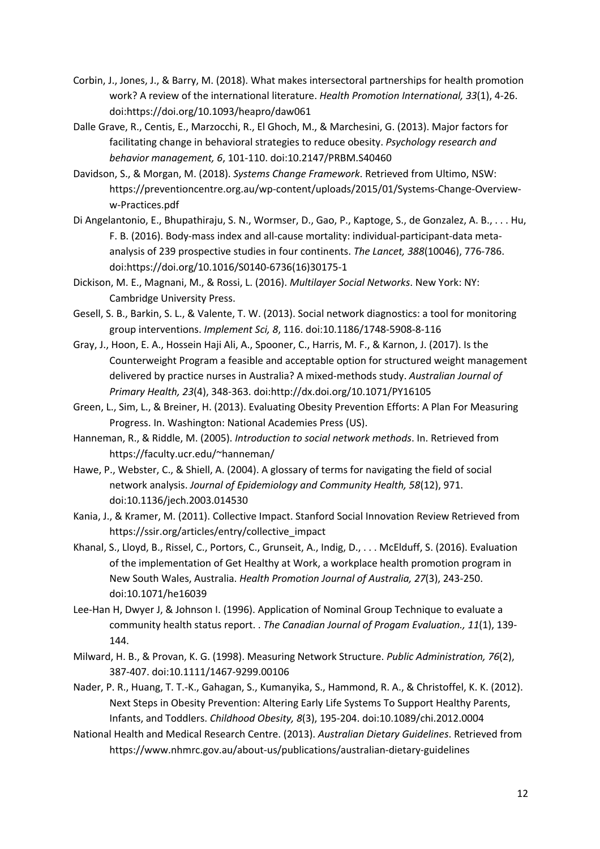- Corbin, J., Jones, J., & Barry, M. (2018). What makes intersectoral partnerships for health promotion work? A review of the international literature. *Health Promotion International, 33*(1), 4-26. doi:https://doi.org/10.1093/heapro/daw061
- Dalle Grave, R., Centis, E., Marzocchi, R., El Ghoch, M., & Marchesini, G. (2013). Major factors for facilitating change in behavioral strategies to reduce obesity. *Psychology research and behavior management, 6*, 101-110. doi:10.2147/PRBM.S40460
- Davidson, S., & Morgan, M. (2018). *Systems Change Framework*. Retrieved from Ultimo, NSW: https://preventioncentre.org.au/wp-content/uploads/2015/01/Systems-Change-Overvieww-Practices.pdf
- Di Angelantonio, E., Bhupathiraju, S. N., Wormser, D., Gao, P., Kaptoge, S., de Gonzalez, A. B., . . . Hu, F. B. (2016). Body-mass index and all-cause mortality: individual-participant-data metaanalysis of 239 prospective studies in four continents. *The Lancet, 388*(10046), 776-786. doi:https://doi.org/10.1016/S0140-6736(16)30175-1
- Dickison, M. E., Magnani, M., & Rossi, L. (2016). *Multilayer Social Networks*. New York: NY: Cambridge University Press.
- Gesell, S. B., Barkin, S. L., & Valente, T. W. (2013). Social network diagnostics: a tool for monitoring group interventions. *Implement Sci, 8*, 116. doi:10.1186/1748-5908-8-116
- Gray, J., Hoon, E. A., Hossein Haji Ali, A., Spooner, C., Harris, M. F., & Karnon, J. (2017). Is the Counterweight Program a feasible and acceptable option for structured weight management delivered by practice nurses in Australia? A mixed-methods study. *Australian Journal of Primary Health, 23*(4), 348-363. doi:http://dx.doi.org/10.1071/PY16105
- Green, L., Sim, L., & Breiner, H. (2013). Evaluating Obesity Prevention Efforts: A Plan For Measuring Progress. In. Washington: National Academies Press (US).
- Hanneman, R., & Riddle, M. (2005). *Introduction to social network methods*. In. Retrieved from https://faculty.ucr.edu/~hanneman/
- Hawe, P., Webster, C., & Shiell, A. (2004). A glossary of terms for navigating the field of social network analysis. *Journal of Epidemiology and Community Health, 58*(12), 971. doi:10.1136/jech.2003.014530
- Kania, J., & Kramer, M. (2011). Collective Impact. Stanford Social Innovation Review Retrieved from https://ssir.org/articles/entry/collective\_impact
- Khanal, S., Lloyd, B., Rissel, C., Portors, C., Grunseit, A., Indig, D., . . . McElduff, S. (2016). Evaluation of the implementation of Get Healthy at Work, a workplace health promotion program in New South Wales, Australia. *Health Promotion Journal of Australia, 27*(3), 243-250. doi:10.1071/he16039
- Lee-Han H, Dwyer J, & Johnson I. (1996). Application of Nominal Group Technique to evaluate a community health status report. . *The Canadian Journal of Progam Evaluation., 11*(1), 139- 144.
- Milward, H. B., & Provan, K. G. (1998). Measuring Network Structure. *Public Administration, 76*(2), 387-407. doi:10.1111/1467-9299.00106
- Nader, P. R., Huang, T. T.-K., Gahagan, S., Kumanyika, S., Hammond, R. A., & Christoffel, K. K. (2012). Next Steps in Obesity Prevention: Altering Early Life Systems To Support Healthy Parents, Infants, and Toddlers. *Childhood Obesity, 8*(3), 195-204. doi:10.1089/chi.2012.0004
- National Health and Medical Research Centre. (2013). *Australian Dietary Guidelines*. Retrieved from https://www.nhmrc.gov.au/about-us/publications/australian-dietary-guidelines